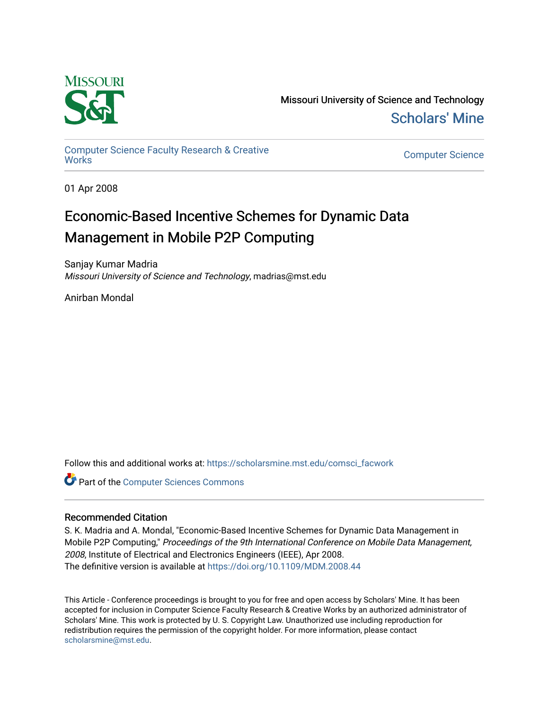

Missouri University of Science and Technology [Scholars' Mine](https://scholarsmine.mst.edu/) 

[Computer Science Faculty Research & Creative](https://scholarsmine.mst.edu/comsci_facwork) 

**Computer Science** 

01 Apr 2008

## Economic-Based Incentive Schemes for Dynamic Data Management in Mobile P2P Computing

Sanjay Kumar Madria Missouri University of Science and Technology, madrias@mst.edu

Anirban Mondal

Follow this and additional works at: [https://scholarsmine.mst.edu/comsci\\_facwork](https://scholarsmine.mst.edu/comsci_facwork?utm_source=scholarsmine.mst.edu%2Fcomsci_facwork%2F187&utm_medium=PDF&utm_campaign=PDFCoverPages) 

**Part of the [Computer Sciences Commons](http://network.bepress.com/hgg/discipline/142?utm_source=scholarsmine.mst.edu%2Fcomsci_facwork%2F187&utm_medium=PDF&utm_campaign=PDFCoverPages)** 

## Recommended Citation

S. K. Madria and A. Mondal, "Economic-Based Incentive Schemes for Dynamic Data Management in Mobile P2P Computing," Proceedings of the 9th International Conference on Mobile Data Management, 2008, Institute of Electrical and Electronics Engineers (IEEE), Apr 2008. The definitive version is available at <https://doi.org/10.1109/MDM.2008.44>

This Article - Conference proceedings is brought to you for free and open access by Scholars' Mine. It has been accepted for inclusion in Computer Science Faculty Research & Creative Works by an authorized administrator of Scholars' Mine. This work is protected by U. S. Copyright Law. Unauthorized use including reproduction for redistribution requires the permission of the copyright holder. For more information, please contact [scholarsmine@mst.edu.](mailto:scholarsmine@mst.edu)